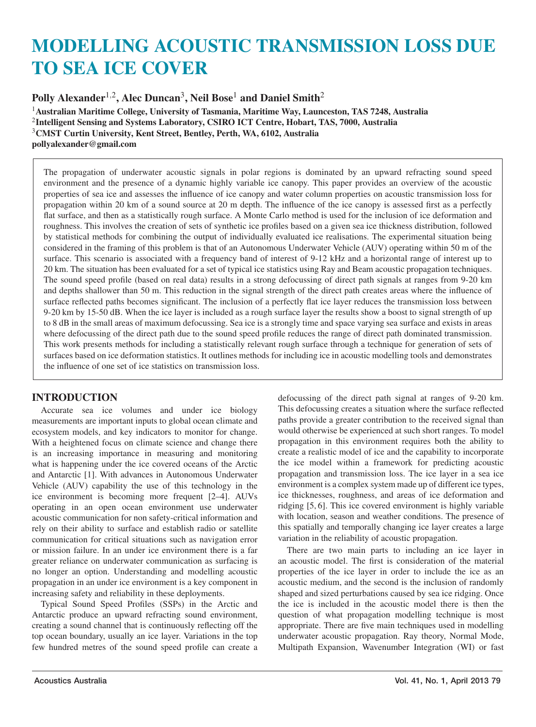# MODELLING ACOUSTIC TRANSMISSION LOSS DUE TO SEA ICE COVER

Polly Alexander<sup>1,2</sup>, Alec Duncan<sup>3</sup>, Neil Bose<sup>1</sup> and Daniel Smith<sup>2</sup>

Australian Maritime College, University of Tasmania, Maritime Way, Launceston, TAS 7248, Australia Intelligent Sensing and Systems Laboratory, CSIRO ICT Centre, Hobart, TAS, 7000, Australia CMST Curtin University, Kent Street, Bentley, Perth, WA, 6102, Australia pollyalexander@gmail.com

The propagation of underwater acoustic signals in polar regions is dominated by an upward refracting sound speed environment and the presence of a dynamic highly variable ice canopy. This paper provides an overview of the acoustic properties of sea ice and assesses the influence of ice canopy and water column properties on acoustic transmission loss for propagation within 20 km of a sound source at 20 m depth. The influence of the ice canopy is assessed first as a perfectly flat surface, and then as a statistically rough surface. A Monte Carlo method is used for the inclusion of ice deformation and roughness. This involves the creation of sets of synthetic ice profiles based on a given sea ice thickness distribution, followed by statistical methods for combining the output of individually evaluated ice realisations. The experimental situation being considered in the framing of this problem is that of an Autonomous Underwater Vehicle (AUV) operating within 50 m of the surface. This scenario is associated with a frequency band of interest of 9-12 kHz and a horizontal range of interest up to 20 km. The situation has been evaluated for a set of typical ice statistics using Ray and Beam acoustic propagation techniques. The sound speed profile (based on real data) results in a strong defocussing of direct path signals at ranges from 9-20 km and depths shallower than 50 m. This reduction in the signal strength of the direct path creates areas where the influence of surface reflected paths becomes significant. The inclusion of a perfectly flat ice layer reduces the transmission loss between 9-20 km by 15-50 dB. When the ice layer is included as a rough surface layer the results show a boost to signal strength of up to 8 dB in the small areas of maximum defocussing. Sea ice is a strongly time and space varying sea surface and exists in areas where defocussing of the direct path due to the sound speed profile reduces the range of direct path dominated transmission. This work presents methods for including a statistically relevant rough surface through a technique for generation of sets of surfaces based on ice deformation statistics. It outlines methods for including ice in acoustic modelling tools and demonstrates the influence of one set of ice statistics on transmission loss.

# **INTRODUCTION**

Accurate sea ice volumes and under ice biology measurements are important inputs to global ocean climate and ecosystem models, and key indicators to monitor for change. With a heightened focus on climate science and change there is an increasing importance in measuring and monitoring what is happening under the ice covered oceans of the Arctic and Antarctic [1]. With advances in Autonomous Underwater Vehicle (AUV) capability the use of this technology in the ice environment is becoming more frequent [2–4]. AUVs operating in an open ocean environment use underwater acoustic communication for non safety-critical information and rely on their ability to surface and establish radio or satellite communication for critical situations such as navigation error or mission failure. In an under ice environment there is a far greater reliance on underwater communication as surfacing is no longer an option. Understanding and modelling acoustic propagation in an under ice environment is a key component in increasing safety and reliability in these deployments.

Typical Sound Speed Profiles (SSPs) in the Arctic and Antarctic produce an upward refracting sound environment, creating a sound channel that is continuously reflecting off the top ocean boundary, usually an ice layer. Variations in the top few hundred metres of the sound speed profile can create a

defocussing of the direct path signal at ranges of 9-20 km. This defocussing creates a situation where the surface reflected paths provide a greater contribution to the received signal than would otherwise be experienced at such short ranges. To model propagation in this environment requires both the ability to create a realistic model of ice and the capability to incorporate the ice model within a framework for predicting acoustic propagation and transmission loss. The ice layer in a sea ice environment is a complex system made up of different ice types, ice thicknesses, roughness, and areas of ice deformation and ridging [5, 6]. This ice covered environment is highly variable with location, season and weather conditions. The presence of this spatially and temporally changing ice layer creates a large variation in the reliability of acoustic propagation.

There are two main parts to including an ice layer in an acoustic model. The first is consideration of the material properties of the ice layer in order to include the ice as an acoustic medium, and the second is the inclusion of randomly shaped and sized perturbations caused by sea ice ridging. Once the ice is included in the acoustic model there is then the question of what propagation modelling technique is most appropriate. There are five main techniques used in modelling underwater acoustic propagation. Ray theory, Normal Mode, Multipath Expansion, Wavenumber Integration (WI) or fast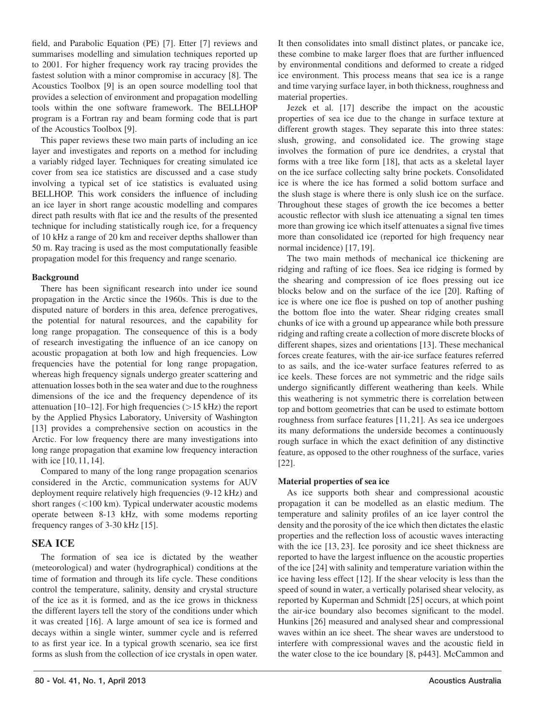field, and Parabolic Equation (PE) [7]. Etter [7] reviews and summarises modelling and simulation techniques reported up to 2001. For higher frequency work ray tracing provides the fastest solution with a minor compromise in accuracy [8]. The Acoustics Toolbox [9] is an open source modelling tool that provides a selection of environment and propagation modelling tools within the one software framework. The BELLHOP program is a Fortran ray and beam forming code that is part of the Acoustics Toolbox [9].

This paper reviews these two main parts of including an ice layer and investigates and reports on a method for including a variably ridged layer. Techniques for creating simulated ice cover from sea ice statistics are discussed and a case study involving a typical set of ice statistics is evaluated using BELLHOP. This work considers the influence of including an ice layer in short range acoustic modelling and compares direct path results with flat ice and the results of the presented technique for including statistically rough ice, for a frequency of 10 kHz a range of 20 km and receiver depths shallower than 50 m. Ray tracing is used as the most computationally feasible propagation model for this frequency and range scenario.

#### Background

There has been significant research into under ice sound propagation in the Arctic since the 1960s. This is due to the disputed nature of borders in this area, defence prerogatives, the potential for natural resources, and the capability for long range propagation. The consequence of this is a body of research investigating the influence of an ice canopy on acoustic propagation at both low and high frequencies. Low frequencies have the potential for long range propagation, whereas high frequency signals undergo greater scattering and attenuation losses both in the sea water and due to the roughness dimensions of the ice and the frequency dependence of its attenuation [10–12]. For high frequencies (>15 kHz) the report by the Applied Physics Laboratory, University of Washington [13] provides a comprehensive section on acoustics in the Arctic. For low frequency there are many investigations into long range propagation that examine low frequency interaction with ice [10, 11, 14].

Compared to many of the long range propagation scenarios considered in the Arctic, communication systems for AUV deployment require relatively high frequencies (9-12 kHz) and short ranges (<100 km). Typical underwater acoustic modems operate between 8-13 kHz, with some modems reporting frequency ranges of 3-30 kHz [15].

## SEA ICE

The formation of sea ice is dictated by the weather (meteorological) and water (hydrographical) conditions at the time of formation and through its life cycle. These conditions control the temperature, salinity, density and crystal structure of the ice as it is formed, and as the ice grows in thickness the different layers tell the story of the conditions under which it was created [16]. A large amount of sea ice is formed and decays within a single winter, summer cycle and is referred to as first year ice. In a typical growth scenario, sea ice first forms as slush from the collection of ice crystals in open water.

It then consolidates into small distinct plates, or pancake ice, these combine to make larger floes that are further influenced by environmental conditions and deformed to create a ridged ice environment. This process means that sea ice is a range and time varying surface layer, in both thickness, roughness and material properties.

Jezek et al. [17] describe the impact on the acoustic properties of sea ice due to the change in surface texture at different growth stages. They separate this into three states: slush, growing, and consolidated ice. The growing stage involves the formation of pure ice dendrites, a crystal that forms with a tree like form [18], that acts as a skeletal layer on the ice surface collecting salty brine pockets. Consolidated ice is where the ice has formed a solid bottom surface and the slush stage is where there is only slush ice on the surface. Throughout these stages of growth the ice becomes a better acoustic reflector with slush ice attenuating a signal ten times more than growing ice which itself attenuates a signal five times more than consolidated ice (reported for high frequency near normal incidence) [17, 19].

The two main methods of mechanical ice thickening are ridging and rafting of ice floes. Sea ice ridging is formed by the shearing and compression of ice floes pressing out ice blocks below and on the surface of the ice [20]. Rafting of ice is where one ice floe is pushed on top of another pushing the bottom floe into the water. Shear ridging creates small chunks of ice with a ground up appearance while both pressure ridging and rafting create a collection of more discrete blocks of different shapes, sizes and orientations [13]. These mechanical forces create features, with the air-ice surface features referred to as sails, and the ice-water surface features referred to as ice keels. These forces are not symmetric and the ridge sails undergo significantly different weathering than keels. While this weathering is not symmetric there is correlation between top and bottom geometries that can be used to estimate bottom roughness from surface features [11, 21]. As sea ice undergoes its many deformations the underside becomes a continuously rough surface in which the exact definition of any distinctive feature, as opposed to the other roughness of the surface, varies [22].

## Material properties of sea ice

As ice supports both shear and compressional acoustic propagation it can be modelled as an elastic medium. The temperature and salinity profiles of an ice layer control the density and the porosity of the ice which then dictates the elastic properties and the reflection loss of acoustic waves interacting with the ice [13, 23]. Ice porosity and ice sheet thickness are reported to have the largest influence on the acoustic properties of the ice [24] with salinity and temperature variation within the ice having less effect [12]. If the shear velocity is less than the speed of sound in water, a vertically polarised shear velocity, as reported by Kuperman and Schmidt [25] occurs, at which point the air-ice boundary also becomes significant to the model. Hunkins [26] measured and analysed shear and compressional waves within an ice sheet. The shear waves are understood to interfere with compressional waves and the acoustic field in the water close to the ice boundary [8, p443]. McCammon and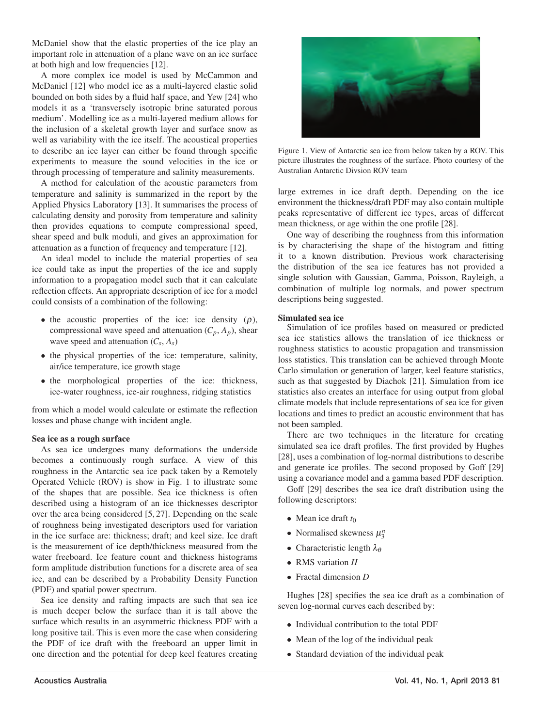McDaniel show that the elastic properties of the ice play an important role in attenuation of a plane wave on an ice surface at both high and low frequencies [12].

A more complex ice model is used by McCammon and McDaniel [12] who model ice as a multi-layered elastic solid bounded on both sides by a fluid half space, and Yew [24] who models it as a 'transversely isotropic brine saturated porous medium'. Modelling ice as a multi-layered medium allows for the inclusion of a skeletal growth layer and surface snow as well as variability with the ice itself. The acoustical properties to describe an ice layer can either be found through specific experiments to measure the sound velocities in the ice or through processing of temperature and salinity measurements.

A method for calculation of the acoustic parameters from temperature and salinity is summarized in the report by the Applied Physics Laboratory [13]. It summarises the process of calculating density and porosity from temperature and salinity then provides equations to compute compressional speed, shear speed and bulk moduli, and gives an approximation for attenuation as a function of frequency and temperature [12].

An ideal model to include the material properties of sea ice could take as input the properties of the ice and supply information to a propagation model such that it can calculate reflection effects. An appropriate description of ice for a model could consists of a combination of the following:

- the acoustic properties of the ice: ice density  $(\rho)$ , compressional wave speed and attenuation  $(C_p, A_p)$ , shear wave speed and attenuation (*Cs*, *As*)
- the physical properties of the ice: temperature, salinity, air/ice temperature, ice growth stage
- the morphological properties of the ice: thickness, ice-water roughness, ice-air roughness, ridging statistics

from which a model would calculate or estimate the reflection losses and phase change with incident angle.

#### Sea ice as a rough surface

As sea ice undergoes many deformations the underside becomes a continuously rough surface. A view of this roughness in the Antarctic sea ice pack taken by a Remotely Operated Vehicle (ROV) is show in Fig. 1 to illustrate some of the shapes that are possible. Sea ice thickness is often described using a histogram of an ice thicknesses descriptor over the area being considered [5, 27]. Depending on the scale of roughness being investigated descriptors used for variation in the ice surface are: thickness; draft; and keel size. Ice draft is the measurement of ice depth/thickness measured from the water freeboard. Ice feature count and thickness histograms form amplitude distribution functions for a discrete area of sea ice, and can be described by a Probability Density Function (PDF) and spatial power spectrum.

Sea ice density and rafting impacts are such that sea ice is much deeper below the surface than it is tall above the surface which results in an asymmetric thickness PDF with a long positive tail. This is even more the case when considering the PDF of ice draft with the freeboard an upper limit in one direction and the potential for deep keel features creating



Figure 1. View of Antarctic sea ice from below taken by a ROV. This picture illustrates the roughness of the surface. Photo courtesy of the Australian Antarctic Divsion ROV team

large extremes in ice draft depth. Depending on the ice environment the thickness/draft PDF may also contain multiple peaks representative of different ice types, areas of different mean thickness, or age within the one profile [28].

One way of describing the roughness from this information is by characterising the shape of the histogram and fitting it to a known distribution. Previous work characterising the distribution of the sea ice features has not provided a single solution with Gaussian, Gamma, Poisson, Rayleigh, a combination of multiple log normals, and power spectrum descriptions being suggested.

#### Simulated sea ice

Simulation of ice profiles based on measured or predicted sea ice statistics allows the translation of ice thickness or roughness statistics to acoustic propagation and transmission loss statistics. This translation can be achieved through Monte Carlo simulation or generation of larger, keel feature statistics, such as that suggested by Diachok [21]. Simulation from ice statistics also creates an interface for using output from global climate models that include representations of sea ice for given locations and times to predict an acoustic environment that has not been sampled.

There are two techniques in the literature for creating simulated sea ice draft profiles. The first provided by Hughes [28], uses a combination of log-normal distributions to describe and generate ice profiles. The second proposed by Goff [29] using a covariance model and a gamma based PDF description.

Goff [29] describes the sea ice draft distribution using the following descriptors:

- Mean ice draft *t*<sup>0</sup>
- Normalised skewness <sup>μ</sup>*<sup>n</sup>* 3
- Characteristic length λ<sub>α</sub>
- RMS variation *H*
- Fractal dimension *D*

Hughes [28] specifies the sea ice draft as a combination of seven log-normal curves each described by:

- Individual contribution to the total PDF
- Mean of the log of the individual peak
- Standard deviation of the individual peak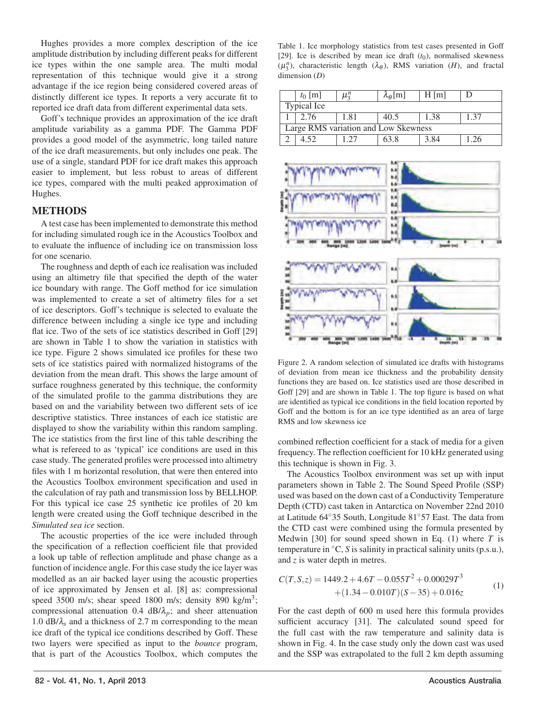Hughes provides a more complex description of the ice amplitude distribution by including different peaks for different ice types within the one sample area. The multi modal representation of this technique would give it a strong advantage if the ice region being considered covered areas of distinctly different ice types. It reports a very accurate fit to reported ice draft data from different experimental data sets.

Goff's technique provides an approximation of the ice draft amplitude variability as a gamma PDF. The Gamma PDF provides a good model of the asymmetric, long tailed nature of the ice draft measurements, but only includes one peak. The use of a single, standard PDF for ice draft makes this approach easier to implement, but less robust to areas of different ice types, compared with the multi peaked approximation of Hughes.

## METHODS

A test case has been implemented to demonstrate this method for including simulated rough ice in the Acoustics Toolbox and to evaluate the influence of including ice on transmission loss for one scenario.

The roughness and depth of each ice realisation was included using an altimetry file that specified the depth of the water ice boundary with range. The Goff method for ice simulation was implemented to create a set of altimetry files for a set of ice descriptors. Goff's technique is selected to evaluate the difference between including a single ice type and including flat ice. Two of the sets of ice statistics described in Goff [29] are shown in Table 1 to show the variation in statistics with ice type. Figure 2 shows simulated ice profiles for these two sets of ice statistics paired with normalized histograms of the deviation from the mean draft. This shows the large amount of surface roughness generated by this technique, the conformity of the simulated profile to the gamma distributions they are based on and the variability between two different sets of ice descriptive statistics. Three instances of each ice statistic are displayed to show the variability within this random sampling. The ice statistics from the first line of this table describing the what is refereed to as 'typical' ice conditions are used in this case study. The generated profiles were processed into altimetry files with 1 m horizontal resolution, that were then entered into the Acoustics Toolbox environment specification and used in the calculation of ray path and transmission loss by BELLHOP. For this typical ice case 25 synthetic ice profiles of 20 km length were created using the Goff technique described in the *Simulated sea ice* section.

The acoustic properties of the ice were included through the specification of a reflection coefficient file that provided a look up table of reflection amplitude and phase change as a function of incidence angle. For this case study the ice layer was modelled as an air backed layer using the acoustic properties of ice approximated by Jensen et al. [8] as: compressional speed 3500 m/s; shear speed 1800 m/s; density 890 kg/m3; compressional attenuation 0.4 dB/λ*p*; and sheer attenuation 1.0 dB/λ*<sup>s</sup>* and a thickness of 2.7 m corresponding to the mean ice draft of the typical ice conditions described by Goff. These two layers were specified as input to the *bounce* program, that is part of the Acoustics Toolbox, which computes the

Table 1. Ice morphology statistics from test cases presented in Goff [29]. Ice is described by mean ice draft  $(t_0)$ , normalised skewness (μ<sup>n</sup><sub>3</sub>), characteristic length (λ<sub>θ</sub>), RMS variation (*H*), and fractal dimension (*D*)

|                                      | $t_0$ [m] | $\mu_3^n$ | $\lambda_{\theta}$ [m] | $H$ [m] |      |  |
|--------------------------------------|-----------|-----------|------------------------|---------|------|--|
| Typical Ice                          |           |           |                        |         |      |  |
|                                      | 2.76      | 1.81      | 40.5                   | 1.38    | 1.37 |  |
| Large RMS variation and Low Skewness |           |           |                        |         |      |  |
|                                      | 4.52      |           | 63.8                   | 3.84    | 1.26 |  |



Figure 2. A random selection of simulated ice drafts with histograms of deviation from mean ice thickness and the probability density functions they are based on. Ice statistics used are those described in Goff [29] and are shown in Table 1. The top figure is based on what are identified as typical ice conditions in the field location reported by Goff and the bottom is for an ice type identified as an area of large RMS and low skewness ice

combined reflection coefficient for a stack of media for a given frequency. The reflection coefficient for 10 kHz generated using this technique is shown in Fig. 3.

The Acoustics Toolbox environment was set up with input parameters shown in Table 2. The Sound Speed Profile (SSP) used was based on the down cast of a Conductivity Temperature Depth (CTD) cast taken in Antarctica on November 22nd 2010 at Latitude 64◦35 South, Longitude 81◦57 East. The data from the CTD cast were combined using the formula presented by Medwin [30] for sound speed shown in Eq. (1) where *T* is temperature in ◦C, *S* is salinity in practical salinity units (p.s.u.), and *z* is water depth in metres.

$$
C(T, S, z) = 1449.2 + 4.6T - 0.055T^{2} + 0.00029T^{3}
$$
  
 
$$
+ (1.34 - 0.010T)(S - 35) + 0.016z
$$
 (1)

For the cast depth of 600 m used here this formula provides sufficient accuracy [31]. The calculated sound speed for the full cast with the raw temperature and salinity data is shown in Fig. 4. In the case study only the down cast was used and the SSP was extrapolated to the full 2 km depth assuming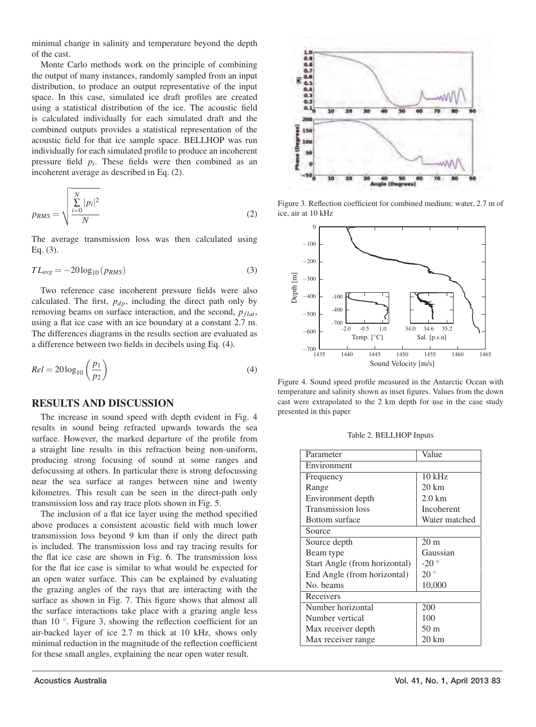minimal change in salinity and temperature beyond the depth of the cast.

Monte Carlo methods work on the principle of combining the output of many instances, randomly sampled from an input distribution, to produce an output representative of the input space. In this case, simulated ice draft profiles are created using a statistical distribution of the ice. The acoustic field is calculated individually for each simulated draft and the combined outputs provides a statistical representation of the acoustic field for that ice sample space. BELLHOP was run individually for each simulated profile to produce an incoherent pressure field *pi*. These fields were then combined as an incoherent average as described in Eq. (2).

$$
p_{RMS} = \sqrt{\frac{\sum_{i=0}^{N} |p_i|^2}{N}}
$$
 (2)

The average transmission loss was then calculated using Eq. (3).

$$
TL_{avg} = -20\log_{10}(p_{RMS})\tag{3}
$$

Two reference case incoherent pressure fields were also calculated. The first,  $p_{dp}$ , including the direct path only by removing beams on surface interaction, and the second,  $p_{flat}$ , using a flat ice case with an ice boundary at a constant 2.7 m. The differences diagrams in the results section are evaluated as a difference between two fields in decibels using Eq. (4).

$$
Rel = 20\log_{10}\left(\frac{p_1}{p_2}\right) \tag{4}
$$

#### RESULTS AND DISCUSSION

The increase in sound speed with depth evident in Fig. 4 results in sound being refracted upwards towards the sea surface. However, the marked departure of the profile from a straight line results in this refraction being non-uniform, producing strong focusing of sound at some ranges and defocussing at others. In particular there is strong defocussing near the sea surface at ranges between nine and twenty kilometres. This result can be seen in the direct-path only transmission loss and ray trace plots shown in Fig. 5.

The inclusion of a flat ice layer using the method specified above produces a consistent acoustic field with much lower transmission loss beyond 9 km than if only the direct path is included. The transmission loss and ray tracing results for the flat ice case are shown in Fig. 6. The transmission loss for the flat ice case is similar to what would be expected for an open water surface. This can be explained by evaluating the grazing angles of the rays that are interacting with the surface as shown in Fig. 7. This figure shows that almost all the surface interactions take place with a grazing angle less than 10 ◦. Figure 3, showing the reflection coefficient for an air-backed layer of ice 2.7 m thick at 10 kHz, shows only minimal reduction in the magnitude of the reflection coefficient for these small angles, explaining the near open water result.



Figure 3. Reflection coefficient for combined medium: water, 2.7 m of ice, air at 10 kHz



Figure 4. Sound speed profile measured in the Antarctic Ocean with temperature and salinity shown as inset figures. Values from the down cast were extrapolated to the 2 km depth for use in the case study presented in this paper

| Table 2. BELLHOP Inputs |  |  |  |
|-------------------------|--|--|--|
|-------------------------|--|--|--|

| Parameter                     | Value            |  |  |  |  |
|-------------------------------|------------------|--|--|--|--|
| Environment                   |                  |  |  |  |  |
| Frequency                     | $10$ kHz         |  |  |  |  |
| Range                         | $20 \text{ km}$  |  |  |  |  |
| Environment depth             | $2.0 \text{ km}$ |  |  |  |  |
| <b>Transmission</b> loss      | Incoherent       |  |  |  |  |
| <b>Bottom</b> surface         | Water matched    |  |  |  |  |
| Source                        |                  |  |  |  |  |
| Source depth                  | 20 <sub>m</sub>  |  |  |  |  |
| Beam type                     | Gaussian         |  |  |  |  |
| Start Angle (from horizontal) | $-20°$           |  |  |  |  |
| End Angle (from horizontal)   | 20°              |  |  |  |  |
| No. beams                     | 10,000           |  |  |  |  |
| Receivers                     |                  |  |  |  |  |
| Number horizontal             | 200              |  |  |  |  |
| Number vertical               | 100              |  |  |  |  |
| Max receiver depth            | 50 <sub>m</sub>  |  |  |  |  |
| Max receiver range            | $20 \text{ km}$  |  |  |  |  |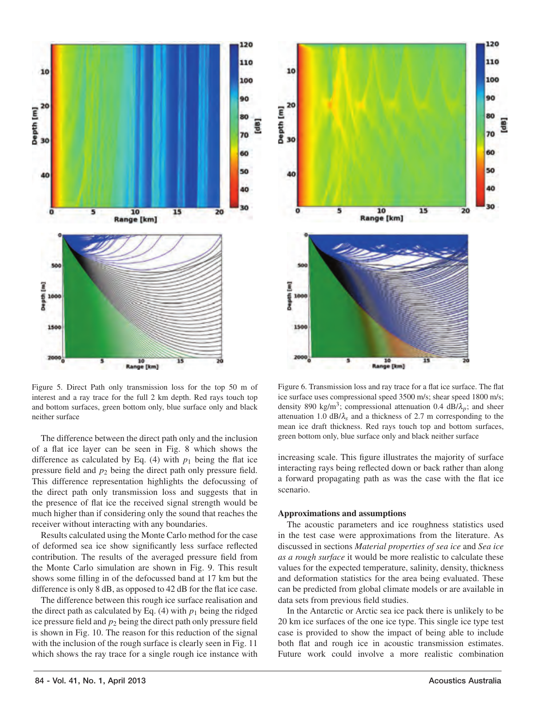

Figure 5. Direct Path only transmission loss for the top 50 m of interest and a ray trace for the full 2 km depth. Red rays touch top and bottom surfaces, green bottom only, blue surface only and black neither surface

The difference between the direct path only and the inclusion of a flat ice layer can be seen in Fig. 8 which shows the difference as calculated by Eq.  $(4)$  with  $p_1$  being the flat ice pressure field and *p*<sup>2</sup> being the direct path only pressure field. This difference representation highlights the defocussing of the direct path only transmission loss and suggests that in the presence of flat ice the received signal strength would be much higher than if considering only the sound that reaches the receiver without interacting with any boundaries.

Results calculated using the Monte Carlo method for the case of deformed sea ice show significantly less surface reflected contribution. The results of the averaged pressure field from the Monte Carlo simulation are shown in Fig. 9. This result shows some filling in of the defocussed band at 17 km but the difference is only 8 dB, as opposed to 42 dB for the flat ice case.

The difference between this rough ice surface realisation and the direct path as calculated by Eq.  $(4)$  with  $p_1$  being the ridged ice pressure field and  $p_2$  being the direct path only pressure field is shown in Fig. 10. The reason for this reduction of the signal with the inclusion of the rough surface is clearly seen in Fig. 11 which shows the ray trace for a single rough ice instance with



Figure 6. Transmission loss and ray trace for a flat ice surface. The flat ice surface uses compressional speed 3500 m/s; shear speed 1800 m/s; density 890 kg/m<sup>3</sup>; compressional attenuation 0.4 dB/ $\lambda_n$ ; and sheer attenuation 1.0 dB/λ*<sup>s</sup>* and a thickness of 2.7 m corresponding to the mean ice draft thickness. Red rays touch top and bottom surfaces, green bottom only, blue surface only and black neither surface

increasing scale. This figure illustrates the majority of surface interacting rays being reflected down or back rather than along a forward propagating path as was the case with the flat ice scenario.

#### Approximations and assumptions

The acoustic parameters and ice roughness statistics used in the test case were approximations from the literature. As discussed in sections *Material properties of sea ice* and *Sea ice as a rough surface* it would be more realistic to calculate these values for the expected temperature, salinity, density, thickness and deformation statistics for the area being evaluated. These can be predicted from global climate models or are available in data sets from previous field studies.

In the Antarctic or Arctic sea ice pack there is unlikely to be 20 km ice surfaces of the one ice type. This single ice type test case is provided to show the impact of being able to include both flat and rough ice in acoustic transmission estimates. Future work could involve a more realistic combination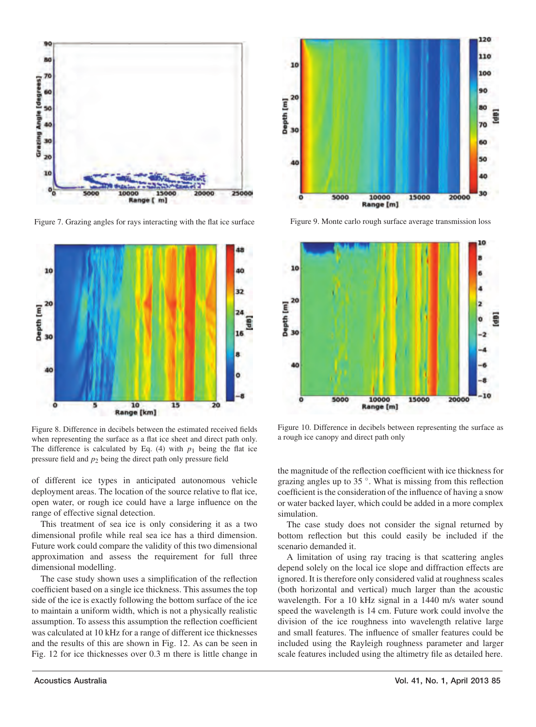

Figure 7. Grazing angles for rays interacting with the flat ice surface



Figure 8. Difference in decibels between the estimated received fields when representing the surface as a flat ice sheet and direct path only. The difference is calculated by Eq.  $(4)$  with  $p_1$  being the flat ice pressure field and *p*<sup>2</sup> being the direct path only pressure field

of different ice types in anticipated autonomous vehicle deployment areas. The location of the source relative to flat ice, open water, or rough ice could have a large influence on the range of effective signal detection.

This treatment of sea ice is only considering it as a two dimensional profile while real sea ice has a third dimension. Future work could compare the validity of this two dimensional approximation and assess the requirement for full three dimensional modelling.

The case study shown uses a simplification of the reflection coefficient based on a single ice thickness. This assumes the top side of the ice is exactly following the bottom surface of the ice to maintain a uniform width, which is not a physically realistic assumption. To assess this assumption the reflection coefficient was calculated at 10 kHz for a range of different ice thicknesses and the results of this are shown in Fig. 12. As can be seen in Fig. 12 for ice thicknesses over 0.3 m there is little change in



Figure 9. Monte carlo rough surface average transmission loss



Figure 10. Difference in decibels between representing the surface as a rough ice canopy and direct path only

the magnitude of the reflection coefficient with ice thickness for grazing angles up to 35 ◦. What is missing from this reflection coefficient is the consideration of the influence of having a snow or water backed layer, which could be added in a more complex simulation.

The case study does not consider the signal returned by bottom reflection but this could easily be included if the scenario demanded it.

A limitation of using ray tracing is that scattering angles depend solely on the local ice slope and diffraction effects are ignored. It is therefore only considered valid at roughness scales (both horizontal and vertical) much larger than the acoustic wavelength. For a 10 kHz signal in a 1440 m/s water sound speed the wavelength is 14 cm. Future work could involve the division of the ice roughness into wavelength relative large and small features. The influence of smaller features could be included using the Rayleigh roughness parameter and larger scale features included using the altimetry file as detailed here.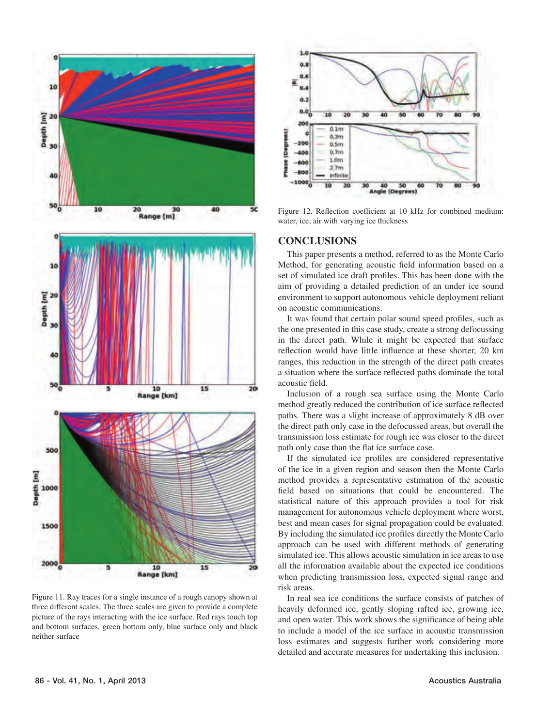

Figure 11. Ray traces for a single instance of a rough canopy shown at three different scales. The three scales are given to provide a complete picture of the rays interacting with the ice surface. Red rays touch top and bottom surfaces, green bottom only, blue surface only and black neither surface



Figure 12. Reflection coefficient at 10 kHz for combined medium: water, ice, air with varying ice thickness

## CONCLUSIONS

This paper presents a method, referred to as the Monte Carlo Method, for generating acoustic field information based on a set of simulated ice draft profiles. This has been done with the aim of providing a detailed prediction of an under ice sound environment to support autonomous vehicle deployment reliant on acoustic communications.

It was found that certain polar sound speed profiles, such as the one presented in this case study, create a strong defocussing in the direct path. While it might be expected that surface reflection would have little influence at these shorter, 20 km ranges, this reduction in the strength of the direct path creates a situation where the surface reflected paths dominate the total acoustic field.

Inclusion of a rough sea surface using the Monte Carlo method greatly reduced the contribution of ice surface reflected paths. There was a slight increase of approximately 8 dB over the direct path only case in the defocussed areas, but overall the transmission loss estimate for rough ice was closer to the direct path only case than the flat ice surface case.

If the simulated ice profiles are considered representative of the ice in a given region and season then the Monte Carlo method provides a representative estimation of the acoustic field based on situations that could be encountered. The statistical nature of this approach provides a tool for risk management for autonomous vehicle deployment where worst, best and mean cases for signal propagation could be evaluated. By including the simulated ice profiles directly the Monte Carlo approach can be used with different methods of generating simulated ice. This allows acoustic simulation in ice areas to use all the information available about the expected ice conditions when predicting transmission loss, expected signal range and risk areas.

In real sea ice conditions the surface consists of patches of heavily deformed ice, gently sloping rafted ice, growing ice, and open water. This work shows the significance of being able to include a model of the ice surface in acoustic transmission loss estimates and suggests further work considering more detailed and accurate measures for undertaking this inclusion.